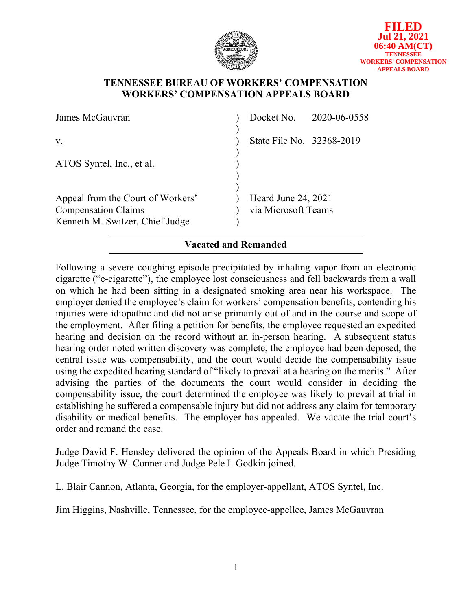

## **TENNESSEE BUREAU OF WORKERS' COMPENSATION WORKERS' COMPENSATION APPEALS BOARD**

| James McGauvran                                                 |                                            | Docket No. 2020-06-0558 |
|-----------------------------------------------------------------|--------------------------------------------|-------------------------|
| V.                                                              | State File No. 32368-2019                  |                         |
| ATOS Syntel, Inc., et al.                                       |                                            |                         |
| Appeal from the Court of Workers'<br><b>Compensation Claims</b> | Heard June 24, 2021<br>via Microsoft Teams |                         |
| Kenneth M. Switzer, Chief Judge                                 |                                            |                         |

# **Vacated and Remanded**

Following a severe coughing episode precipitated by inhaling vapor from an electronic cigarette ("e-cigarette"), the employee lost consciousness and fell backwards from a wall on which he had been sitting in a designated smoking area near his workspace. The employer denied the employee's claim for workers' compensation benefits, contending his injuries were idiopathic and did not arise primarily out of and in the course and scope of the employment. After filing a petition for benefits, the employee requested an expedited hearing and decision on the record without an in-person hearing. A subsequent status hearing order noted written discovery was complete, the employee had been deposed, the central issue was compensability, and the court would decide the compensability issue using the expedited hearing standard of "likely to prevail at a hearing on the merits." After advising the parties of the documents the court would consider in deciding the compensability issue, the court determined the employee was likely to prevail at trial in establishing he suffered a compensable injury but did not address any claim for temporary disability or medical benefits. The employer has appealed. We vacate the trial court's order and remand the case.

Judge David F. Hensley delivered the opinion of the Appeals Board in which Presiding Judge Timothy W. Conner and Judge Pele I. Godkin joined.

L. Blair Cannon, Atlanta, Georgia, for the employer-appellant, ATOS Syntel, Inc.

Jim Higgins, Nashville, Tennessee, for the employee-appellee, James McGauvran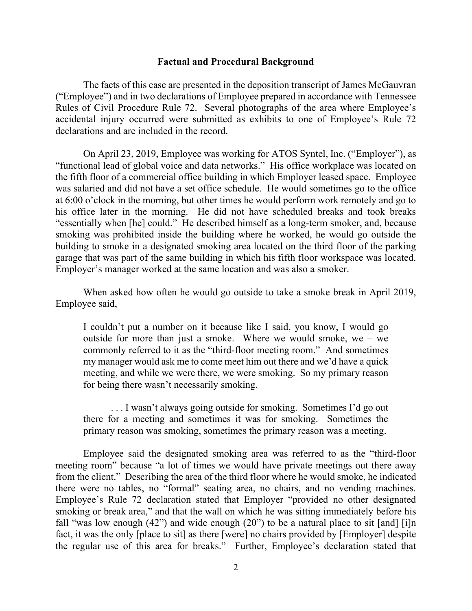#### **Factual and Procedural Background**

The facts of this case are presented in the deposition transcript of James McGauvran ("Employee") and in two declarations of Employee prepared in accordance with Tennessee Rules of Civil Procedure Rule 72. Several photographs of the area where Employee's accidental injury occurred were submitted as exhibits to one of Employee's Rule 72 declarations and are included in the record.

On April 23, 2019, Employee was working for ATOS Syntel, Inc. ("Employer"), as "functional lead of global voice and data networks." His office workplace was located on the fifth floor of a commercial office building in which Employer leased space. Employee was salaried and did not have a set office schedule. He would sometimes go to the office at 6:00 o'clock in the morning, but other times he would perform work remotely and go to his office later in the morning. He did not have scheduled breaks and took breaks "essentially when [he] could." He described himself as a long-term smoker, and, because smoking was prohibited inside the building where he worked, he would go outside the building to smoke in a designated smoking area located on the third floor of the parking garage that was part of the same building in which his fifth floor workspace was located. Employer's manager worked at the same location and was also a smoker.

When asked how often he would go outside to take a smoke break in April 2019, Employee said,

I couldn't put a number on it because like I said, you know, I would go outside for more than just a smoke. Where we would smoke, we – we commonly referred to it as the "third-floor meeting room." And sometimes my manager would ask me to come meet him out there and we'd have a quick meeting, and while we were there, we were smoking. So my primary reason for being there wasn't necessarily smoking.

. . . I wasn't always going outside for smoking. Sometimes I'd go out there for a meeting and sometimes it was for smoking. Sometimes the primary reason was smoking, sometimes the primary reason was a meeting.

Employee said the designated smoking area was referred to as the "third-floor meeting room" because "a lot of times we would have private meetings out there away from the client." Describing the area of the third floor where he would smoke, he indicated there were no tables, no "formal" seating area, no chairs, and no vending machines. Employee's Rule 72 declaration stated that Employer "provided no other designated smoking or break area," and that the wall on which he was sitting immediately before his fall "was low enough  $(42)$ " and wide enough  $(20)$ " to be a natural place to sit [and] [i]n fact, it was the only [place to sit] as there [were] no chairs provided by [Employer] despite the regular use of this area for breaks." Further, Employee's declaration stated that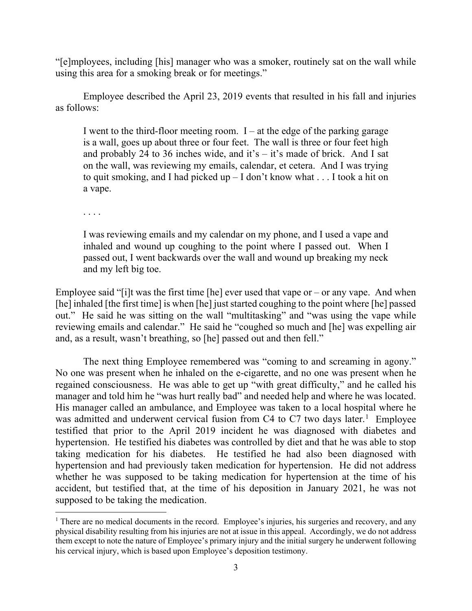"[e]mployees, including [his] manager who was a smoker, routinely sat on the wall while using this area for a smoking break or for meetings."

Employee described the April 23, 2019 events that resulted in his fall and injuries as follows:

I went to the third-floor meeting room.  $I - at$  the edge of the parking garage is a wall, goes up about three or four feet. The wall is three or four feet high and probably 24 to 36 inches wide, and it's  $-$  it's made of brick. And I sat on the wall, was reviewing my emails, calendar, et cetera. And I was trying to quit smoking, and I had picked up – I don't know what . . . I took a hit on a vape.

. . . .

I was reviewing emails and my calendar on my phone, and I used a vape and inhaled and wound up coughing to the point where I passed out. When I passed out, I went backwards over the wall and wound up breaking my neck and my left big toe.

Employee said "[i]t was the first time [he] ever used that vape or – or any vape. And when [he] inhaled [the first time] is when [he] just started coughing to the point where [he] passed out." He said he was sitting on the wall "multitasking" and "was using the vape while reviewing emails and calendar." He said he "coughed so much and [he] was expelling air and, as a result, wasn't breathing, so [he] passed out and then fell."

The next thing Employee remembered was "coming to and screaming in agony." No one was present when he inhaled on the e-cigarette, and no one was present when he regained consciousness. He was able to get up "with great difficulty," and he called his manager and told him he "was hurt really bad" and needed help and where he was located. His manager called an ambulance, and Employee was taken to a local hospital where he was admitted and underwent cervical fusion from C4 to C7 two days later.<sup>[1](#page-2-0)</sup> Employee testified that prior to the April 2019 incident he was diagnosed with diabetes and hypertension. He testified his diabetes was controlled by diet and that he was able to stop taking medication for his diabetes. He testified he had also been diagnosed with hypertension and had previously taken medication for hypertension. He did not address whether he was supposed to be taking medication for hypertension at the time of his accident, but testified that, at the time of his deposition in January 2021, he was not supposed to be taking the medication.

<span id="page-2-0"></span><sup>&</sup>lt;sup>1</sup> There are no medical documents in the record. Employee's injuries, his surgeries and recovery, and any physical disability resulting from his injuries are not at issue in this appeal. Accordingly, we do not address them except to note the nature of Employee's primary injury and the initial surgery he underwent following his cervical injury, which is based upon Employee's deposition testimony.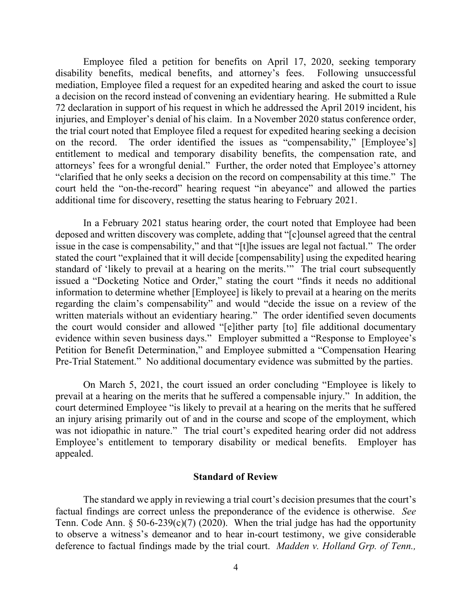Employee filed a petition for benefits on April 17, 2020, seeking temporary disability benefits, medical benefits, and attorney's fees. Following unsuccessful mediation, Employee filed a request for an expedited hearing and asked the court to issue a decision on the record instead of convening an evidentiary hearing. He submitted a Rule 72 declaration in support of his request in which he addressed the April 2019 incident, his injuries, and Employer's denial of his claim. In a November 2020 status conference order, the trial court noted that Employee filed a request for expedited hearing seeking a decision on the record. The order identified the issues as "compensability," [Employee's] entitlement to medical and temporary disability benefits, the compensation rate, and attorneys' fees for a wrongful denial." Further, the order noted that Employee's attorney "clarified that he only seeks a decision on the record on compensability at this time." The court held the "on-the-record" hearing request "in abeyance" and allowed the parties additional time for discovery, resetting the status hearing to February 2021.

In a February 2021 status hearing order, the court noted that Employee had been deposed and written discovery was complete, adding that "[c]ounsel agreed that the central issue in the case is compensability," and that "[t]he issues are legal not factual." The order stated the court "explained that it will decide [compensability] using the expedited hearing standard of 'likely to prevail at a hearing on the merits.'" The trial court subsequently issued a "Docketing Notice and Order," stating the court "finds it needs no additional information to determine whether [Employee] is likely to prevail at a hearing on the merits regarding the claim's compensability" and would "decide the issue on a review of the written materials without an evidentiary hearing." The order identified seven documents the court would consider and allowed "[e]ither party [to] file additional documentary evidence within seven business days." Employer submitted a "Response to Employee's Petition for Benefit Determination," and Employee submitted a "Compensation Hearing Pre-Trial Statement." No additional documentary evidence was submitted by the parties.

On March 5, 2021, the court issued an order concluding "Employee is likely to prevail at a hearing on the merits that he suffered a compensable injury." In addition, the court determined Employee "is likely to prevail at a hearing on the merits that he suffered an injury arising primarily out of and in the course and scope of the employment, which was not idiopathic in nature." The trial court's expedited hearing order did not address Employee's entitlement to temporary disability or medical benefits. Employer has appealed.

### **Standard of Review**

The standard we apply in reviewing a trial court's decision presumes that the court's factual findings are correct unless the preponderance of the evidence is otherwise. *See* Tenn. Code Ann.  $\S 50-6-239(c)(7)$  (2020). When the trial judge has had the opportunity to observe a witness's demeanor and to hear in-court testimony, we give considerable deference to factual findings made by the trial court. *Madden v. Holland Grp. of Tenn.,*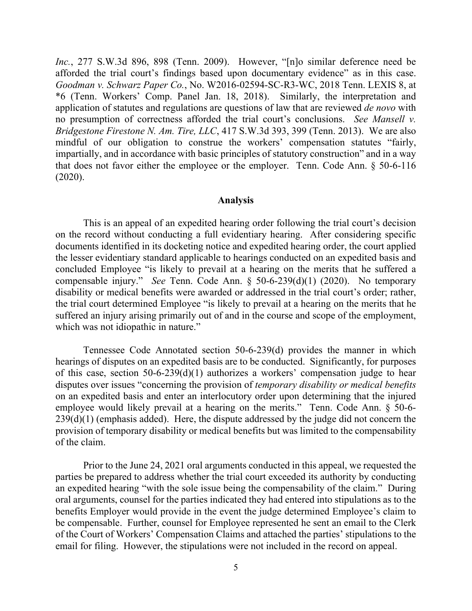*Inc.*, 277 S.W.3d 896, 898 (Tenn. 2009). However, "[n]o similar deference need be afforded the trial court's findings based upon documentary evidence" as in this case. *Goodman v. Schwarz Paper Co.*, No. W2016-02594-SC-R3-WC, 2018 Tenn. LEXIS 8, at \*6 (Tenn. Workers' Comp. Panel Jan. 18, 2018). Similarly, the interpretation and application of statutes and regulations are questions of law that are reviewed *de novo* with no presumption of correctness afforded the trial court's conclusions. *See Mansell v. Bridgestone Firestone N. Am. Tire, LLC*, 417 S.W.3d 393, 399 (Tenn. 2013). We are also mindful of our obligation to construe the workers' compensation statutes "fairly, impartially, and in accordance with basic principles of statutory construction" and in a way that does not favor either the employee or the employer. Tenn. Code Ann. § 50-6-116 (2020).

#### **Analysis**

This is an appeal of an expedited hearing order following the trial court's decision on the record without conducting a full evidentiary hearing. After considering specific documents identified in its docketing notice and expedited hearing order, the court applied the lesser evidentiary standard applicable to hearings conducted on an expedited basis and concluded Employee "is likely to prevail at a hearing on the merits that he suffered a compensable injury." *See* Tenn. Code Ann. § 50-6-239(d)(1) (2020). No temporary disability or medical benefits were awarded or addressed in the trial court's order; rather, the trial court determined Employee "is likely to prevail at a hearing on the merits that he suffered an injury arising primarily out of and in the course and scope of the employment, which was not idiopathic in nature."

Tennessee Code Annotated section 50-6-239(d) provides the manner in which hearings of disputes on an expedited basis are to be conducted. Significantly, for purposes of this case, section 50-6-239(d)(1) authorizes a workers' compensation judge to hear disputes over issues "concerning the provision of *temporary disability or medical benefits* on an expedited basis and enter an interlocutory order upon determining that the injured employee would likely prevail at a hearing on the merits." Tenn. Code Ann. § 50-6-  $239(d)(1)$  (emphasis added). Here, the dispute addressed by the judge did not concern the provision of temporary disability or medical benefits but was limited to the compensability of the claim.

Prior to the June 24, 2021 oral arguments conducted in this appeal, we requested the parties be prepared to address whether the trial court exceeded its authority by conducting an expedited hearing "with the sole issue being the compensability of the claim." During oral arguments, counsel for the parties indicated they had entered into stipulations as to the benefits Employer would provide in the event the judge determined Employee's claim to be compensable. Further, counsel for Employee represented he sent an email to the Clerk of the Court of Workers' Compensation Claims and attached the parties' stipulations to the email for filing. However, the stipulations were not included in the record on appeal.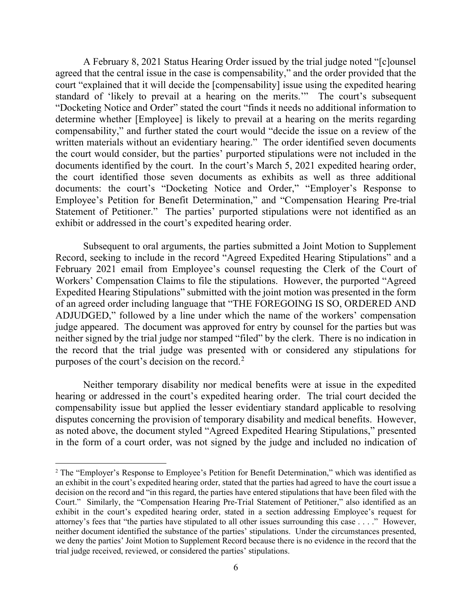A February 8, 2021 Status Hearing Order issued by the trial judge noted "[c]ounsel agreed that the central issue in the case is compensability," and the order provided that the court "explained that it will decide the [compensability] issue using the expedited hearing standard of 'likely to prevail at a hearing on the merits.'" The court's subsequent "Docketing Notice and Order" stated the court "finds it needs no additional information to determine whether [Employee] is likely to prevail at a hearing on the merits regarding compensability," and further stated the court would "decide the issue on a review of the written materials without an evidentiary hearing." The order identified seven documents the court would consider, but the parties' purported stipulations were not included in the documents identified by the court. In the court's March 5, 2021 expedited hearing order, the court identified those seven documents as exhibits as well as three additional documents: the court's "Docketing Notice and Order," "Employer's Response to Employee's Petition for Benefit Determination," and "Compensation Hearing Pre-trial Statement of Petitioner." The parties' purported stipulations were not identified as an exhibit or addressed in the court's expedited hearing order.

Subsequent to oral arguments, the parties submitted a Joint Motion to Supplement Record, seeking to include in the record "Agreed Expedited Hearing Stipulations" and a February 2021 email from Employee's counsel requesting the Clerk of the Court of Workers' Compensation Claims to file the stipulations. However, the purported "Agreed Expedited Hearing Stipulations" submitted with the joint motion was presented in the form of an agreed order including language that "THE FOREGOING IS SO, ORDERED AND ADJUDGED," followed by a line under which the name of the workers' compensation judge appeared. The document was approved for entry by counsel for the parties but was neither signed by the trial judge nor stamped "filed" by the clerk. There is no indication in the record that the trial judge was presented with or considered any stipulations for purposes of the court's decision on the record.[2](#page-5-0)

Neither temporary disability nor medical benefits were at issue in the expedited hearing or addressed in the court's expedited hearing order. The trial court decided the compensability issue but applied the lesser evidentiary standard applicable to resolving disputes concerning the provision of temporary disability and medical benefits. However, as noted above, the document styled "Agreed Expedited Hearing Stipulations," presented in the form of a court order, was not signed by the judge and included no indication of

<span id="page-5-0"></span><sup>&</sup>lt;sup>2</sup> The "Employer's Response to Employee's Petition for Benefit Determination," which was identified as an exhibit in the court's expedited hearing order, stated that the parties had agreed to have the court issue a decision on the record and "in this regard, the parties have entered stipulations that have been filed with the Court." Similarly, the "Compensation Hearing Pre-Trial Statement of Petitioner," also identified as an exhibit in the court's expedited hearing order, stated in a section addressing Employee's request for attorney's fees that "the parties have stipulated to all other issues surrounding this case . . . ." However, neither document identified the substance of the parties' stipulations. Under the circumstances presented, we deny the parties' Joint Motion to Supplement Record because there is no evidence in the record that the trial judge received, reviewed, or considered the parties' stipulations.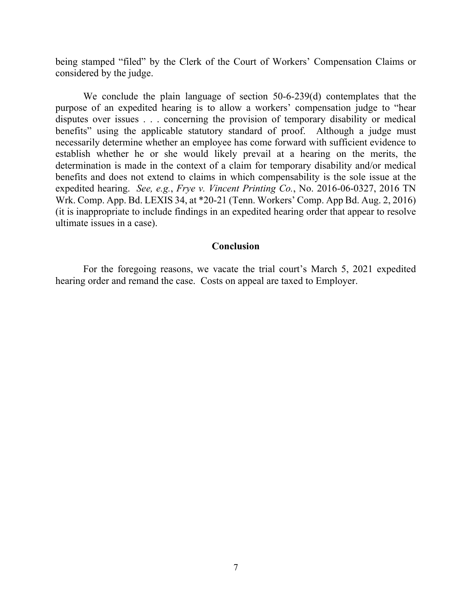being stamped "filed" by the Clerk of the Court of Workers' Compensation Claims or considered by the judge.

We conclude the plain language of section 50-6-239(d) contemplates that the purpose of an expedited hearing is to allow a workers' compensation judge to "hear disputes over issues . . . concerning the provision of temporary disability or medical benefits" using the applicable statutory standard of proof. Although a judge must necessarily determine whether an employee has come forward with sufficient evidence to establish whether he or she would likely prevail at a hearing on the merits, the determination is made in the context of a claim for temporary disability and/or medical benefits and does not extend to claims in which compensability is the sole issue at the expedited hearing. *See, e.g.*, *Frye v. Vincent Printing Co.*, No. 2016-06-0327, 2016 TN Wrk. Comp. App. Bd. LEXIS 34, at \*20-21 (Tenn. Workers' Comp. App Bd. Aug. 2, 2016) (it is inappropriate to include findings in an expedited hearing order that appear to resolve ultimate issues in a case).

### **Conclusion**

For the foregoing reasons, we vacate the trial court's March 5, 2021 expedited hearing order and remand the case. Costs on appeal are taxed to Employer.